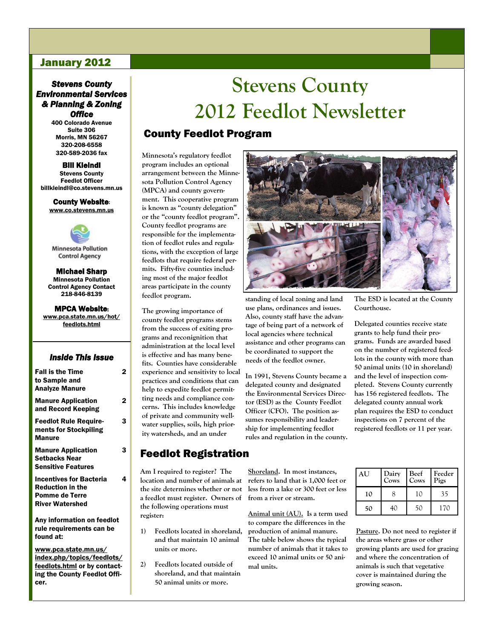### January 2012

### *Stevens County Environmental Services & Planning & Zoning Office*

400 Colorado Avenue Suite 306 Morris, MN 56267 320-208-6558 320-589-2036 fax

Bill Kleindl Stevens County Feedlot Officer billkleindl@co.stevens.mn.us

County Website: www.co.stevens.mn.us



Michael Sharp Minnesota Pollution Control Agency Contact 218-846-8139

#### MPCA Website: www.pca.state.mn.us/hot/ feedlots.html

### *Inside This Issue*  Fall is the Time 2 to Sample and Analyze Manure Manure Application 2 and Record Keeping Feedlot Rule Require- 3 ments for Stockpiling Manure Manure Application 3 Setbacks Near Sensitive Features Incentives for Bacteria 4 Reduction in the Pomme de Terre River Watershed Any information on feedlot rule requirements can be found at:

www.pca.state.mn.us/ index.php/topics/feedlots/ feedlots.html or by contacting the County Feedlot Officer.

# **Stevens County 2012 Feedlot Newsletter**

### County Feedlot Program

**Minnesota's regulatory feedlot program includes an optional arrangement between the Minnesota Pollution Control Agency (MPCA) and county government. This cooperative program**  is known as "county delegation" or the "county feedlot program". **County feedlot programs are responsible for the implementation of feedlot rules and regulations, with the exception of large feedlots that require federal permits. Fifty-five counties including most of the major feedlot areas participate in the county feedlot program.** 

**The growing importance of county feedlot programs stems from the success of exiting programs and reconignition that administration at the local level is effective and has many benefits. Counties have considerable experience and sensitivity to local practices and conditions that can help to expedite feedlot permitting needs and compliance concerns. This includes knowledge of private and community wellwater supplies, soils, high priority watersheds, and an under**

### Feedlot Registration

**Am I required to register? The location and number of animals at the site determines whether or not a feedlot must register. Owners of the following operations must register:**

- **1) Feedlots located in shoreland, and that maintain 10 animal units or more.**
- **2) Feedlots located outside of shoreland, and that maintain 50 animal units or more.**



**standing of local zoning and land use plans, ordinances and issues. Also, county staff have the advantage of being part of a network of local agencies where technical assistance and other programs can be coordinated to support the needs of the feedlot owner.** 

**In 1991, Stevens County became a delegated county and designated the Environmental Services Director (ESD) as the County Feedlot Officer (CFO). The position assumes responsibility and leadership for implementing feedlot rules and regulation in the county.** 

**Shoreland. In most instances, refers to land that is 1,000 feet or less from a lake or 300 feet or less from a river or stream.** 

**Animal unit (AU). Is a term used to compare the differences in the production of animal manure. The table below shows the typical number of animals that it takes to exceed 10 animal units or 50 animal units.**

**The ESD is located at the County Courthouse.** 

**Delegated counties receive state grants to help fund their programs. Funds are awarded based on the number of registered feedlots in the county with more than 50 animal units (10 in shoreland) and the level of inspection completed. Stevens County currently has 156 registered feedlots. The delegated county annual work plan requires the ESD to conduct inspections on 7 percent of the registered feedlots or 11 per year.** 

| AU | Dairy<br>Cows | <b>Beef</b><br>Cows | Feeder<br>Pigs |  |
|----|---------------|---------------------|----------------|--|
| 10 | 8             | 10                  | 35             |  |
| 50 |               | 50                  | 170            |  |

**Pasture. Do not need to register if the areas where grass or other growing plants are used for grazing and where the concentration of animals is such that vegetative cover is maintained during the growing season.**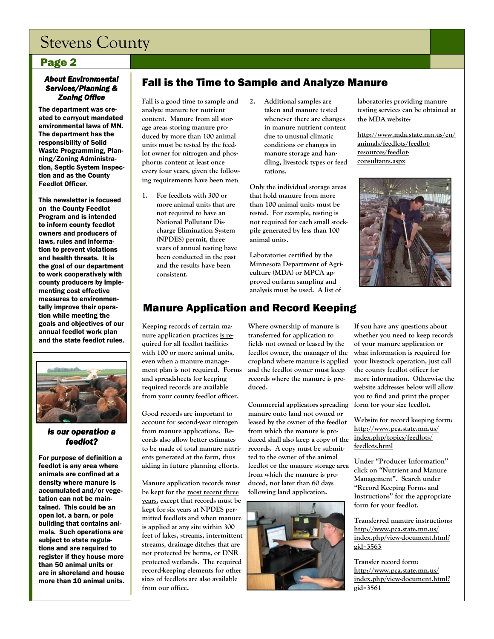## Stevens County

### Page 2

### *About Environmental Services/Planning & Zoning Office*

The department was created to carryout mandated environmental laws of MN. The department has the responsibility of Solid Waste Programming, Planning/Zoning Administration, Septic System Inspection and as the County Feedlot Officer.

This newsletter is focused on the County Feedlot Program and is intended to inform county feedlot owners and producers of laws, rules and information to prevent violations and health threats. It is the goal of our department to work cooperatively with county producers by implementing cost effective measures to environmentally improve their operation while meeting the goals and objectives of our annual feedlot work plan and the state feedlot rules.



### *Is our operation a feedlot?*

For purpose of definition a feedlot is any area where animals are confined at a density where manure is accumulated and/or vegetation can not be maintained. This could be an open lot, a barn, or pole building that contains animals. Such operations are subject to state regulations and are required to register if they house more than 50 animal units or are in shoreland and house more than 10 animal units.

## Fall is the Time to Sample and Analyze Manure

**Fall is a good time to sample and analyze manure for nutrient content. Manure from all storage areas storing manure produced by more than 100 animal units must be tested by the feedlot owner for nitrogen and phosphorus content at least once every four years, given the following requirements have been met:**

- **1. For feedlots with 300 or more animal units that are not required to have an National Pollutant Discharge Elimination System (NPDES) permit, three years of annual testing have been conducted in the past and the results have been consistent.**
- **2. Additional samples are taken and manure tested whenever there are changes in manure nutrient content due to unusual climatic conditions or changes in manure storage and handling, livestock types or feed rations.**

**Only the individual storage areas that hold manure from more than 100 animal units must be tested. For example, testing is not required for each small stockpile generated by less than 100 animal units.**

**Laboratories certified by the Minnesota Department of Agriculture (MDA) or MPCA approved on-farm sampling and analysis must be used. A list of** 

**laboratories providing manure testing services can be obtained at the MDA website:** 

**http://www.mda.state.mn.us/en/ animals/feedlots/feedlotresources/feedlotconsultants.aspx**



## Manure Application and Record Keeping

**Keeping records of certain manure application practices is required for all feedlot facilities with 100 or more animal units, even when a manure management plan is not required. Forms and spreadsheets for keeping required records are available from your county feedlot officer.** 

**Good records are important to account for second-year nitrogen from manure applications. Records also allow better estimates to be made of total manure nutrients generated at the farm, thus aiding in future planning efforts.**

**Manure application records must be kept for the most recent three years, except that records must be kept for six years at NPDES permitted feedlots and when manure is applied at any site within 300 feet of lakes, streams, intermittent streams, drainage ditches that are not protected by berms, or DNR protected wetlands. The required record-keeping elements for other sizes of feedlots are also available from our office.**

**Where ownership of manure is transferred for application to fields not owned or leased by the feedlot owner, the manager of the cropland where manure is applied and the feedlot owner must keep records where the manure is produced.** 

**Commercial applicators spreading manure onto land not owned or leased by the owner of the feedlot from which the manure is produced shall also keep a copy of the records. A copy must be submitted to the owner of the animal feedlot or the manure storage area from which the manure is produced, not later than 60 days following land application.**



**If you have any questions about whether you need to keep records of your manure application or what information is required for your livestock operation, just call the county feedlot officer for more information. Otherwise the website addresses below will allow you to find and print the proper form for your size feedlot.**

**Website for record keeping form: http://www.pca.state.mn.us/ index.php/topics/feedlots/ feedlots.html**

**Under "Producer Information" click on ―Nutrient and Manure Management‖. Search under ―Record Keeping Forms and Instructions‖ for the appropriate form for your feedlot.**

**Transferred manure instructions: http://www.pca.state.mn.us/ index.php/view-document.html? gid=3563**

**Transfer record form: http://www.pca.state.mn.us/ index.php/view-document.html? gid=3561**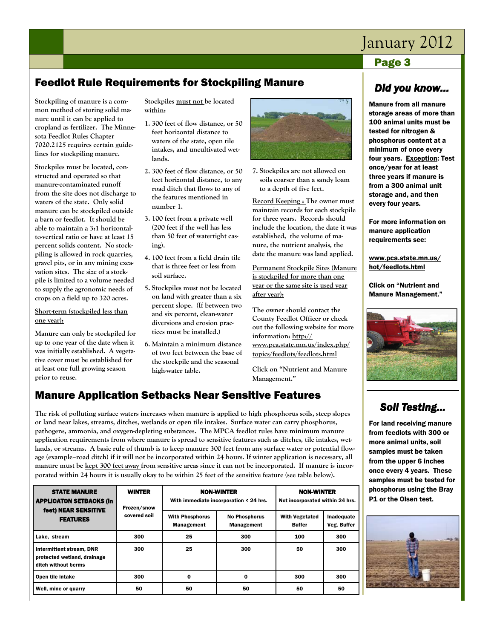## January 2012

## Page 3

## Feedlot Rule Requirements for Stockpiling Manure

**Stockpiling of manure is a common method of storing solid manure until it can be applied to cropland as fertilizer. The Minnesota Feedlot Rules Chapter 7020.2125 requires certain guidelines for stockpiling manure.** 

**Stockpiles must be located, constructed and operated so that manure-contaminated runoff from the site does not discharge to waters of the state. Only solid manure can be stockpiled outside a barn or feedlot. It should be able to maintain a 3:1 horizontalto-vertical ratio or have at least 15 percent solids content. No stockpiling is allowed in rock quarries, gravel pits, or in any mining excavation sites. The size of a stockpile is limited to a volume needed to supply the agronomic needs of crops on a field up to 320 acres.** 

### **Short-term (stockpiled less than one year):**

**Manure can only be stockpiled for up to one year of the date when it was initially established. A vegetative cover must be established for at least one full growing season prior to reuse.** 

**Stockpiles must not be located within:** 

- **1. 300 feet of flow distance, or 50 feet horizontal distance to waters of the state, open tile intakes, and uncultivated wetlands.**
- **2. 300 feet of flow distance, or 50 feet horizontal distance, to any road ditch that flows to any of the features mentioned in number 1.**
- **3. 100 feet from a private well (200 feet if the well has less than 50 feet of watertight casing).**
- **4. 100 feet from a field drain tile that is three feet or less from soil surface.**
- **5. Stockpiles must not be located on land with greater than a six percent slope. (If between two and six percent, clean-water diversions and erosion practices must be installed.)**
- **6. Maintain a minimum distance of two feet between the base of the stockpile and the seasonal high-water table.**



**7. Stockpiles are not allowed on soils coarser than a sandy loam to a depth of five feet.**

**Record Keeping : The owner must maintain records for each stockpile for three years. Records should include the location, the date it was established, the volume of manure, the nutrient analysis, the date the manure was land applied.**

**Permanent Stockpile Sites (Manure is stockpiled for more than one year or the same site is used year after year):**

**The owner should contact the County Feedlot Officer or check out the following website for more information: http:// www.pca.state.mn.us/index.php/ topics/feedlots/feedlots.html**

**Click on "Nutrient and Manure Management.‖**

## Manure Application Setbacks Near Sensitive Features

**The risk of polluting surface waters increases when manure is applied to high phosphorus soils, steep slopes or land near lakes, streams, ditches, wetlands or open tile intakes. Surface water can carry phosphorus, pathogens, ammonia, and oxygen-depleting substances. The MPCA feedlot rules have minimum manure application requirements from where manure is spread to sensitive features such as ditches, tile intakes, wetlands, or streams. A basic rule of thumb is to keep manure 300 feet from any surface water or potential flowage (example–road ditch) if it will not be incorporated within 24 hours. If winter application is necessary, all manure must be kept 300 feet away from sensitive areas since it can not be incorporated. If manure is incorporated within 24 hours it is usually okay to be within 25 feet of the sensitive feature (see table below).**

| <b>STATE MANURE</b><br><b>APPLICATON SETBACKS (In</b><br>feet) NEAR SENSITIVE<br><b>FEATURES</b> | <b>WINTER</b><br>Frozen/snow<br>covered soil | <b>NON-WINTER</b><br>With immediate incorporation < 24 hrs. |                                           | <b>NON-WINTER</b><br>Not incorporated within 24 hrs. |                           |
|--------------------------------------------------------------------------------------------------|----------------------------------------------|-------------------------------------------------------------|-------------------------------------------|------------------------------------------------------|---------------------------|
|                                                                                                  |                                              | <b>With Phosphorus</b><br><b>Management</b>                 | <b>No Phosphorus</b><br><b>Management</b> | <b>With Vegetated</b><br><b>Buffer</b>               | Inadequate<br>Veg. Buffer |
| Lake, stream                                                                                     | 300                                          | 25                                                          | 300                                       | 100                                                  | 300                       |
| Intermittent stream, DNR<br>protected wetland, drainage<br>ditch without berms                   | 300                                          | 25                                                          | 300                                       | 50                                                   | 300                       |
| Open tile intake                                                                                 | 300                                          | 0                                                           | 0                                         | 300                                                  | 300                       |
| Well, mine or quarry                                                                             | 50                                           | 50                                                          | 50                                        | 50                                                   | 50                        |

## *Did you know…*

Manure from all manure storage areas of more than 100 animal units must be tested for nitrogen & phosphorus content at a minimum of once every four years. Exception: Test once/year for at least three years if manure is from a 300 animal unit storage and, and then every four years.

For more information on manure application requirements see:

www.pca.state.mn.us/ hot/feedlots.html

Click on "Nutrient and Manure Management."



## *Soil Testing...*

For land receiving manure from feedlots with 300 or more animal units, soil samples must be taken from the upper 6 inches once every 4 years. These samples must be tested for phosphorus using the Bray P1 or the Olsen test.